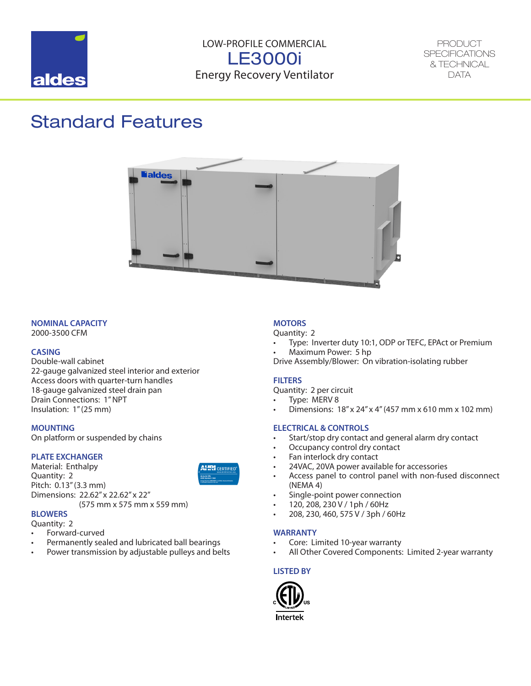

LOW-PROFILE COMMERCIAL LE3000i Energy Recovery Ventilator

PRODUCT **SPECIFICATIONS** & TECHNICAL DATA

## Standard Features



### **NOMINAL CAPACITY**

2000-3500 CFM

#### **CASING**

Double-wall cabinet 22-gauge galvanized steel interior and exterior Access doors with quarter-turn handles 18-gauge galvanized steel drain pan Drain Connections: 1" NPT Insulation: 1" (25 mm)

#### **MOUNTING**

On platform or suspended by chains

#### **PLATE EXCHANGER**

Material: Enthalpy Quantity: 2 Pitch: 0.13" (3.3 mm) Dimensions: 22.62" x 22.62" x 22"

(575 mm x 575 mm x 559 mm)

#### **BLOWERS**

- Quantity: 2
- Forward-curved
- Permanently sealed and lubricated ball bearings
- Power transmission by adjustable pulleys and belts

## **MOTORS**

Quantity: 2

- Type: Inverter duty 10:1, ODP or TEFC, EPAct or Premium
- Maximum Power: 5 hp

Drive Assembly/Blower: On vibration-isolating rubber

#### **FILTERS**

Quantity: 2 per circuit

- Type: MERV 8
- Dimensions: 18" x 24" x 4" (457 mm x 610 mm x 102 mm)

### **ELECTRICAL & CONTROLS**

- Start/stop dry contact and general alarm dry contact
- Occupancy control dry contact
- Fan interlock dry contact
- 24VAC, 20VA power available for accessories
- Access panel to control panel with non-fused disconnect (NEMA 4)
- Single-point power connection
- 120, 208, 230 V / 1ph / 60Hz
- 208, 230, 460, 575 V / 3ph / 60Hz

#### **WARRANTY**

- Core: Limited 10-year warranty
- All Other Covered Components: Limited 2-year warranty

#### **LISTED BY**

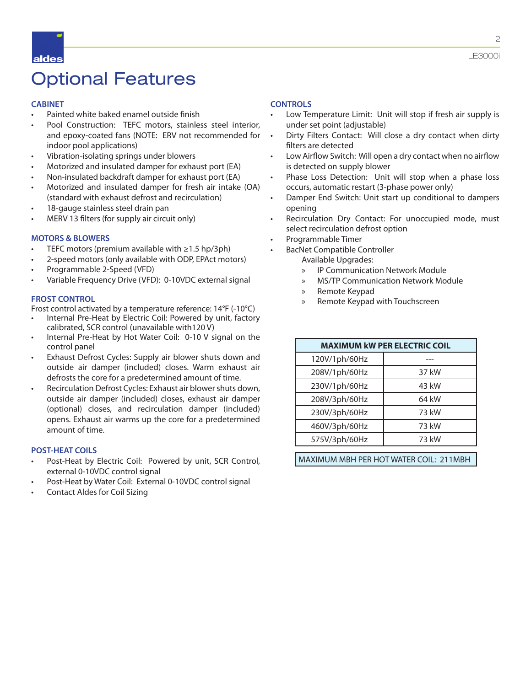## Optional Features

### **CABINET**

- Painted white baked enamel outside finish
- Pool Construction: TEFC motors, stainless steel interior, and epoxy-coated fans (NOTE: ERV not recommended for indoor pool applications)
- Vibration-isolating springs under blowers
- Motorized and insulated damper for exhaust port (EA)
- Non-insulated backdraft damper for exhaust port (EA)
- Motorized and insulated damper for fresh air intake (OA) (standard with exhaust defrost and recirculation)
- 18-gauge stainless steel drain pan
- MERV 13 filters (for supply air circuit only)

### **MOTORS & BLOWERS**

- TEFC motors (premium available with  $\geq$ 1.5 hp/3ph)
- 2-speed motors (only available with ODP, EPAct motors)
- Programmable 2-Speed (VFD)
- Variable Frequency Drive (VFD): 0-10VDC external signal

#### **FROST CONTROL**

Frost control activated by a temperature reference: 14°F (-10°C)

- Internal Pre-Heat by Electric Coil: Powered by unit, factory calibrated, SCR control (unavailable with120 V)
- Internal Pre-Heat by Hot Water Coil: 0-10 V signal on the control panel
- Exhaust Defrost Cycles: Supply air blower shuts down and outside air damper (included) closes. Warm exhaust air defrosts the core for a predetermined amount of time.
- Recirculation Defrost Cycles: Exhaust air blower shuts down, outside air damper (included) closes, exhaust air damper (optional) closes, and recirculation damper (included) opens. Exhaust air warms up the core for a predetermined amount of time.

### **POST-HEAT COILS**

- Post-Heat by Electric Coil: Powered by unit, SCR Control, external 0-10VDC control signal
- Post-Heat by Water Coil: External 0-10VDC control signal
- Contact Aldes for Coil Sizing

### **CONTROLS**

- Low Temperature Limit: Unit will stop if fresh air supply is under set point (adjustable)
- Dirty Filters Contact: Will close a dry contact when dirty filters are detected
- Low Airflow Switch: Will open a dry contact when no airflow is detected on supply blower
- Phase Loss Detection: Unit will stop when a phase loss occurs, automatic restart (3-phase power only)
- Damper End Switch: Unit start up conditional to dampers opening
- Recirculation Dry Contact: For unoccupied mode, must select recirculation defrost option
- Programmable Timer
- BacNet Compatible Controller
	- Available Upgrades:
		- » IP Communication Network Module
		- » MS/TP Communication Network Module
		- » Remote Keypad
		- » Remote Keypad with Touchscreen

| <b>MAXIMUM kW PER ELECTRIC COIL</b> |       |  |  |  |  |  |  |
|-------------------------------------|-------|--|--|--|--|--|--|
| 120V/1ph/60Hz                       |       |  |  |  |  |  |  |
| 208V/1ph/60Hz                       | 37 kW |  |  |  |  |  |  |
| 230V/1ph/60Hz                       | 43 kW |  |  |  |  |  |  |
| 208V/3ph/60Hz                       | 64 kW |  |  |  |  |  |  |
| 230V/3ph/60Hz                       | 73 kW |  |  |  |  |  |  |
| 460V/3ph/60Hz                       | 73 kW |  |  |  |  |  |  |
| 575V/3ph/60Hz                       | 73 kW |  |  |  |  |  |  |
|                                     |       |  |  |  |  |  |  |

MAXIMUM MBH PER HOT WATER COIL: 211MBH

LE3000i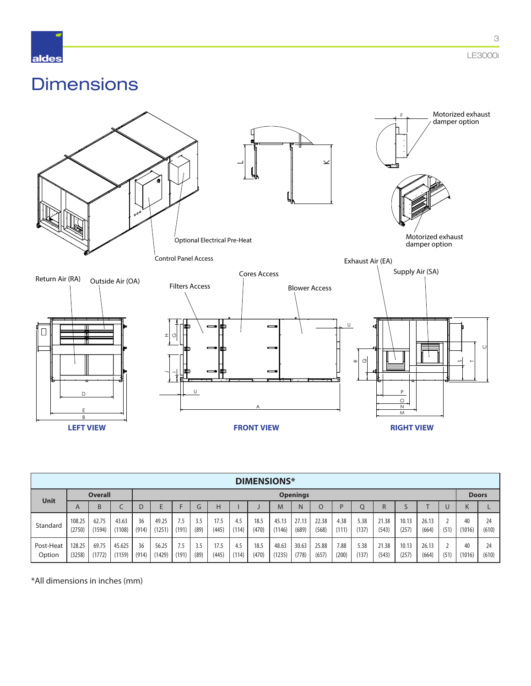

3

## **Dimensions**



|                     | <b>DIMENSIONS*</b> |                 |                  |             |                 |             |                 |               |              |               |                 |                |                |               |               |                |                |                |      |              |             |
|---------------------|--------------------|-----------------|------------------|-------------|-----------------|-------------|-----------------|---------------|--------------|---------------|-----------------|----------------|----------------|---------------|---------------|----------------|----------------|----------------|------|--------------|-------------|
| <b>Unit</b>         | <b>Overall</b>     |                 |                  |             |                 |             | <b>Openings</b> |               |              |               |                 |                |                |               | <b>Doors</b>  |                |                |                |      |              |             |
|                     | $\overline{A}$     | B               |                  | D           |                 |             | G               | н             |              |               | M               | N              | $\circ$        | D             |               | R              |                |                |      | N            |             |
| Standard            | 108.25<br>(2750)   | 62.75<br>(1594) | 43.63<br>(1108)  | 36<br>(914) | 49.25<br>(1251) | 7.5<br>(191 | 3.5<br>(89)     | 17.5<br>(445) | 4.5<br>(114) | 18.5<br>(470) | 45.13<br>(1146) | 27.13<br>(689) | 22.38<br>(568) | 4.38<br>(111) | 5.38<br>(137) | 21.38<br>(543) | 10.13<br>(257) | 26.13<br>(664) | (51) | 40<br>(1016) | 24<br>(610) |
| Post-Heat<br>Option | 128.25<br>(3258)   | 69.75<br>(1772) | 45.625<br>(1159) | 36<br>(914) | 56.25<br>(1429) | 7.5<br>(191 | 3.5<br>(89)     | 17.5<br>(445) | 4.5<br>(114) | 18.5<br>(470) | 48.63<br>(1235) | 30.63<br>(778) | 25.88<br>(657) | 7.88<br>(200) | 5.38<br>(137) | 21.38<br>(543) | 10.13<br>(257) | 26.13<br>(664) | (51) | 40<br>(1016) | 24<br>(610) |

\*All dimensions in inches (mm)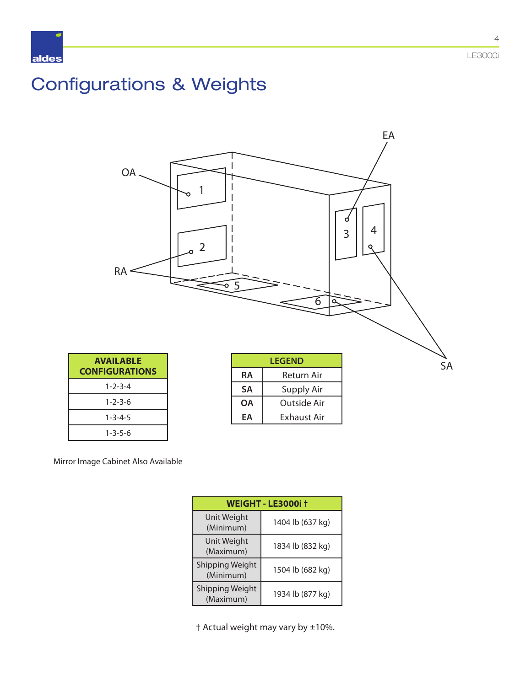# Configurations & Weights



Mirror Image Cabinet Also Available

| <b>WEIGHT - LE3000i †</b>           |                  |  |  |  |  |  |  |
|-------------------------------------|------------------|--|--|--|--|--|--|
| Unit Weight<br>(Minimum)            | 1404 lb (637 kg) |  |  |  |  |  |  |
| Unit Weight<br>(Maximum)            | 1834 lb (832 kg) |  |  |  |  |  |  |
| <b>Shipping Weight</b><br>(Minimum) | 1504 lb (682 kg) |  |  |  |  |  |  |
| Shipping Weight<br>(Maximum)        | 1934 lb (877 kg) |  |  |  |  |  |  |

† Actual weight may vary by ±10%.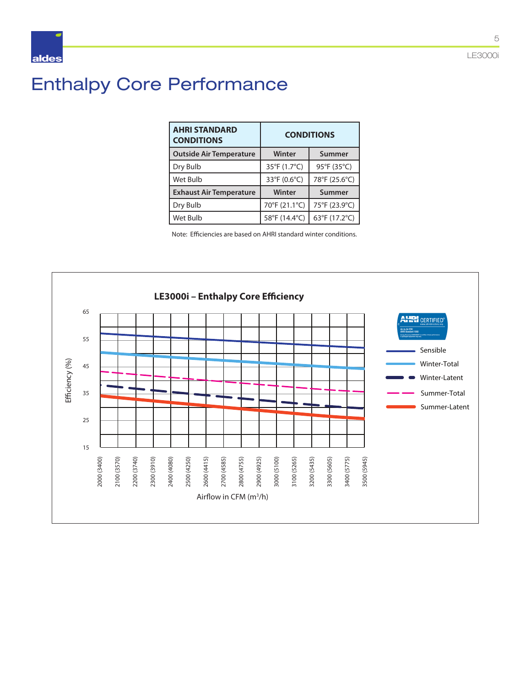# Enthalpy Core Performance

| <b>AHRI STANDARD</b><br><b>CONDITIONS</b> | <b>CONDITIONS</b> |               |  |  |  |  |
|-------------------------------------------|-------------------|---------------|--|--|--|--|
| <b>Outside Air Temperature</b>            | Winter            | Summer        |  |  |  |  |
| Dry Bulb                                  | 35°F (1.7°C)      | 95°F (35°C)   |  |  |  |  |
| Wet Bulb                                  | 33°F (0.6°C)      | 78°F (25.6°C) |  |  |  |  |
| <b>Exhaust Air Temperature</b>            | Winter            | Summer        |  |  |  |  |
| Dry Bulb                                  | 70°F (21.1°C)     | 75°F (23.9°C) |  |  |  |  |
| Wet Bulb                                  | 58°F (14.4°C)     | 63°F (17.2°C) |  |  |  |  |

Note: Efficiencies are based on AHRI standard winter conditions.



5

LE3000i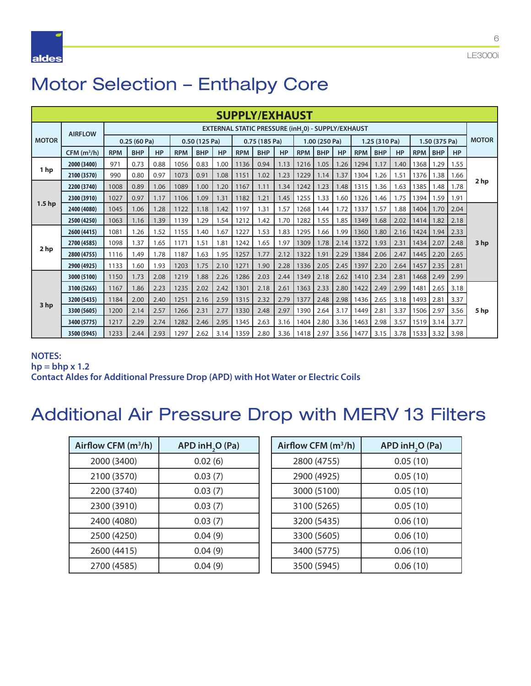

# Motor Selection – Enthalpy Core

| <b>SUPPLY/EXHAUST</b> |                   |            |             |           |               |            |      |              |                                                                |      |               |            |               |            |            |               |            |            |              |      |
|-----------------------|-------------------|------------|-------------|-----------|---------------|------------|------|--------------|----------------------------------------------------------------|------|---------------|------------|---------------|------------|------------|---------------|------------|------------|--------------|------|
|                       | <b>AIRFLOW</b>    |            |             |           |               |            |      |              | EXTERNAL STATIC PRESSURE (inH <sub>,</sub> 0) - SUPPLY/EXHAUST |      |               |            |               |            |            |               |            |            |              |      |
| <b>MOTOR</b>          |                   |            | 0.25(60 Pa) |           | 0.50 (125 Pa) |            |      | 0.75(185 Pa) |                                                                |      | 1.00 (250 Pa) |            | 1.25 (310 Pa) |            |            | 1.50 (375 Pa) |            |            | <b>MOTOR</b> |      |
|                       | $CFM$ ( $m^3/h$ ) | <b>RPM</b> | <b>BHP</b>  | <b>HP</b> | <b>RPM</b>    | <b>BHP</b> | HP   | <b>RPM</b>   | <b>BHP</b>                                                     | HP   | <b>RPM</b>    | <b>BHP</b> | <b>HP</b>     | <b>RPM</b> | <b>BHP</b> | <b>HP</b>     | <b>RPM</b> | <b>BHP</b> | HP           |      |
|                       | 2000 (3400)       | 971        | 0.73        | 0.88      | 1056          | 0.83       | 1.00 | 1136         | 0.94                                                           | 1.13 | 1216          | 1.05       | 1.26          | 1294       | 1.17       | 1.40          | 1368       | 1.29       | 1.55         |      |
| 1 <sub>hp</sub>       | 2100 (3570)       | 990        | 0.80        | 0.97      | 1073          | 0.91       | 1.08 | 1151         | 1.02                                                           | 1.23 | 1229          | 1.14       | 1.37          | 1304       | 1.26       | 1.51          | 1376       | 1.38       | 1.66         |      |
|                       | 2200 (3740)       | 1008       | 0.89        | 1.06      | 1089          | 1.00       | 1.20 | 1167         | 1.11                                                           | 1.34 | 1242          | 1.23       | 1.48          | 1315       | 1.36       | 1.63          | 1385       | 1.48       | 1.78         | 2 hp |
|                       | 2300 (3910)       | 1027       | 0.97        | 1.17      | 1106          | 1.09       | 1.31 | 1182         | 1.21                                                           | 1.45 | 1255          | 1.33       | 1.60          | 1326       | 1.46       | 1.75          | 1394       | 1.59       | 1.91         |      |
| 1.5 <sub>h</sub>      | 2400 (4080)       | 1045       | 1.06        | 1.28      | 1122          | 1.18       | 1.42 | 1197         | 1.31                                                           | 1.57 | 1268          | 1.44       | 1.72          | 1337       | 1.57       | 1.88          | 1404       | 1.70       | 2.04         |      |
|                       | 2500 (4250)       | 1063       | 1.16        | 1.39      | 1139          | 1.29       | 1.54 | 1212         | 1.42                                                           | 1.70 | 1282          | 1.55       | 1.85          | 1349       | 1.68       | 2.02          | 1414       | 1.82       | 2.18         |      |
|                       | 2600 (4415)       | 1081       | 1.26        | 1.52      | 1155          | 1.40       | 1.67 | 1227         | 1.53                                                           | 1.83 | 1295          | 1.66       | 1.99          | 1360       | 1.80       | 2.16          | 1424       | 1.94       | 2.33         |      |
|                       | 2700 (4585)       | 1098       | 1.37        | 1.65      | 1171          | 1.51       | 1.81 | 1242         | 1.65                                                           | 1.97 | 1309          | 1.78       | 2.14          | 1372       | 1.93       | 2.31          | 1434       | 2.07       | 2.48         | 3 hp |
| 2 <sub>hp</sub>       | 2800 (4755)       | 1116       | 1.49        | 1.78      | 1187          | 1.63       | 1.95 | 1257         | 1.77                                                           | 2.12 | 1322          | 1.91       | 2.29          | 1384       | 2.06       | 2.47          | 1445       | 2.20       | 2.65         |      |
|                       | 2900 (4925)       | 1133       | 1.60        | 1.93      | 1203          | 1.75       | 2.10 | 1271         | 1.90                                                           | 2.28 | 1336          | 2.05       | 2.45          | 1397       | 2.20       | 2.64          | 1457       | 2.35       | 2.81         |      |
|                       | 3000 (5100)       | 1150       | 1.73        | 2.08      | 1219          | 1.88       | 2.26 | 1286         | 2.03                                                           | 2.44 | 1349          | 2.18       | 2.62          | 1410       | 2.34       | 2.81          | 1468       | 2.49       | 2.99         |      |
|                       | 3100 (5265)       | 1167       | 1.86        | 2.23      | 1235          | 2.02       | 2.42 | 1301         | 2.18                                                           | 2.61 | 1363          | 2.33       | 2.80          | 1422       | 2.49       | 2.99          | 1481       | 2.65       | 3.18         |      |
|                       | 3200 (5435)       | 1184       | 2.00        | 2.40      | 1251          | 2.16       | 2.59 | 1315         | 2.32                                                           | 2.79 | 1377          | 2.48       | 2.98          | 1436       | 2.65       | 3.18          | 1493       | 2.81       | 3.37         |      |
| 3 hp                  | 3300 (5605)       | 1200       | 2.14        | 2.57      | 1266          | 2.31       | 2.77 | 1330         | 2.48                                                           | 2.97 | 1390          | 2.64       | 3.17          | 1449       | 2.81       | 3.37          | 1506       | 2.97       | 3.56         | 5 hp |
|                       | 3400 (5775)       | 1217       | 2.29        | 2.74      | 1282          | 2.46       | 2.95 | 1345         | 2.63                                                           | 3.16 | 1404          | 2.80       | 3.36          | 1463       | 2.98       | 3.57          | 1519       | 3.14       | 3.77         |      |
|                       | 3500 (5945)       | 1233       | 2.44        | 2.93      | 1297          | 2.62       | 3.14 | 1359         | 2.80                                                           | 3.36 | 1418          | 2.97       | 3.56          | 1477       | 3.15       | 3.78          | 1533       | 13.32      | 3.98         |      |

### **NOTES:**

**hp = bhp x 1.2**

**Contact Aldes for Additional Pressure Drop (APD) with Hot Water or Electric Coils**

## Additional Air Pressure Drop with MERV 13 Filters

| Airflow CFM $(m^3/h)$ | APD in H <sub>2</sub> O (Pa) |
|-----------------------|------------------------------|
| 2000 (3400)           | 0.02(6)                      |
| 2100 (3570)           | 0.03(7)                      |
| 2200 (3740)           | 0.03(7)                      |
| 2300 (3910)           | 0.03(7)                      |
| 2400 (4080)           | 0.03(7)                      |
| 2500 (4250)           | 0.04(9)                      |
| 2600 (4415)           | 0.04(9)                      |
| 2700 (4585)           | 0.04(9)                      |

| Airflow CFM $(m^3/h)$ | APD in H <sub>2</sub> O (Pa) |
|-----------------------|------------------------------|
| 2800 (4755)           | 0.05(10)                     |
| 2900 (4925)           | 0.05(10)                     |
| 3000 (5100)           | 0.05(10)                     |
| 3100 (5265)           | 0.05(10)                     |
| 3200 (5435)           | 0.06(10)                     |
| 3300 (5605)           | 0.06(10)                     |
| 3400 (5775)           | 0.06(10)                     |
| 3500 (5945)           | 0.06(10)                     |